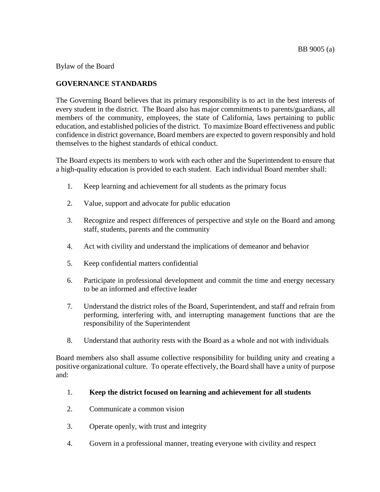Bylaw of the Board

# **GOVERNANCE STANDARDS**

The Governing Board believes that its primary responsibility is to act in the best interests of every student in the district. The Board also has major commitments to parents/guardians, all members of the community, employees, the state of California, laws pertaining to public education, and established policies of the district. To maximize Board effectiveness and public confidence in district governance, Board members are expected to govern responsibly and hold themselves to the highest standards of ethical conduct.

The Board expects its members to work with each other and the Superintendent to ensure that a high-quality education is provided to each student. Each individual Board member shall:

- 1. Keep learning and achievement for all students as the primary focus
- 2. Value, support and advocate for public education
- 3. Recognize and respect differences of perspective and style on the Board and among staff, students, parents and the community
- 4. Act with civility and understand the implications of demeanor and behavior
- 5. Keep confidential matters confidential
- 6. Participate in professional development and commit the time and energy necessary to be an informed and effective leader
- 7. Understand the district roles of the Board, Superintendent, and staff and refrain from performing, interfering with, and interrupting management functions that are the responsibility of the Superintendent
- 8. Understand that authority rests with the Board as a whole and not with individuals

Board members also shall assume collective responsibility for building unity and creating a positive organizational culture. To operate effectively, the Board shall have a unity of purpose and:

- 1. **Keep the district focused on learning and achievement for all students**
- 2. Communicate a common vision
- 3. Operate openly, with trust and integrity
- 4. Govern in a professional manner, treating everyone with civility and respect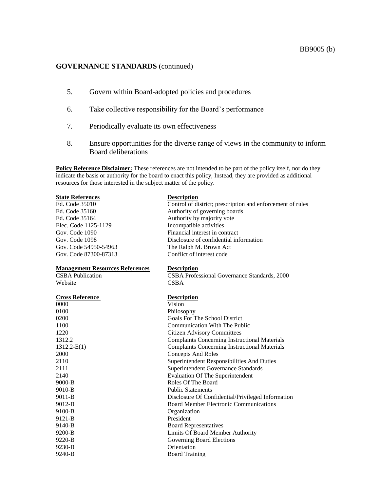### **GOVERNANCE STANDARDS** (continued)

- 5. Govern within Board-adopted policies and procedures
- 6. Take collective responsibility for the Board's performance
- 7. Periodically evaluate its own effectiveness
- 8. Ensure opportunities for the diverse range of views in the community to inform Board deliberations

**Policy Reference Disclaimer:** These references are not intended to be part of the policy itself, nor do they indicate the basis or authority for the board to enact this policy, Instead, they are provided as additional resources for those interested in the subject matter of the policy.

| <b>State References</b>                | <b>Description</b>                                         |
|----------------------------------------|------------------------------------------------------------|
| Ed. Code 35010                         | Control of district; prescription and enforcement of rules |
| Ed. Code 35160                         | Authority of governing boards                              |
| Ed. Code 35164                         | Authority by majority vote                                 |
| Elec. Code 1125-1129                   | Incompatible activities                                    |
| Gov. Code 1090                         | Financial interest in contract                             |
| Gov. Code 1098                         | Disclosure of confidential information                     |
| Gov. Code 54950-54963                  | The Ralph M. Brown Act                                     |
| Gov. Code 87300-87313                  | Conflict of interest code                                  |
| <b>Management Resources References</b> | <b>Description</b>                                         |
| <b>CSBA</b> Publication                | CSBA Professional Governance Standards, 2000               |
| Website                                | <b>CSBA</b>                                                |
| <b>Cross Reference</b>                 | <b>Description</b>                                         |
| 0000                                   | Vision                                                     |
| 0100                                   | Philosophy                                                 |
| 0200                                   | Goals For The School District                              |
| 1100                                   | <b>Communication With The Public</b>                       |
| 1220                                   | <b>Citizen Advisory Committees</b>                         |
| 1312.2                                 | <b>Complaints Concerning Instructional Materials</b>       |
| $1312.2-E(1)$                          | <b>Complaints Concerning Instructional Materials</b>       |
| 2000                                   | <b>Concepts And Roles</b>                                  |
| 2110                                   | Superintendent Responsibilities And Duties                 |
| 2111                                   | Superintendent Governance Standards                        |
| 2140                                   | <b>Evaluation Of The Superintendent</b>                    |
| $9000-B$                               | Roles Of The Board                                         |
| $9010-B$                               | <b>Public Statements</b>                                   |
| $9011-B$                               | Disclosure Of Confidential/Privileged Information          |
| 9012-B                                 | <b>Board Member Electronic Communications</b>              |
| 9100-B                                 | Organization                                               |
| 9121-B                                 | President                                                  |
| 9140-B                                 | <b>Board Representatives</b>                               |
| 9200-B                                 | Limits Of Board Member Authority                           |
| 9220-B                                 | Governing Board Elections                                  |
| 9230-B                                 | Orientation                                                |
| 9240-B                                 | <b>Board Training</b>                                      |